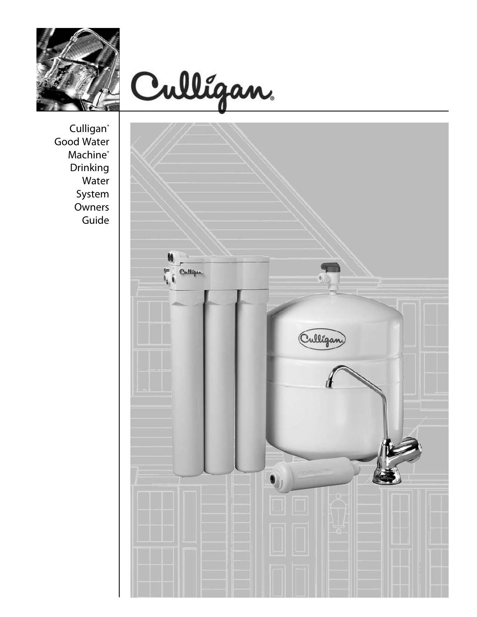



Culligan<sup>®</sup> Good Water Machine<sup>®</sup> Drinking Water System Owners Guide

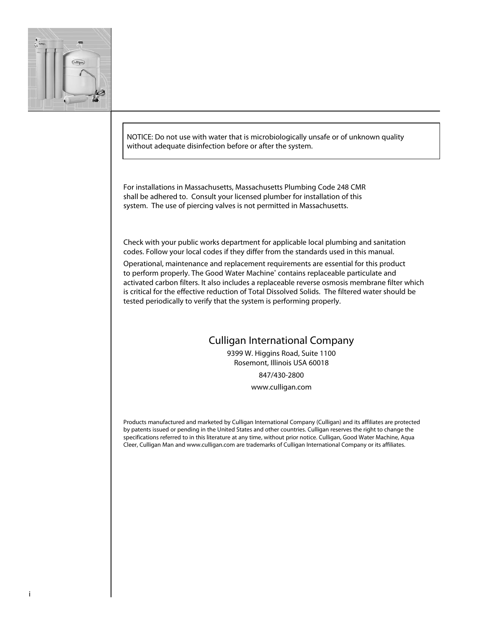

NOTICE: Do not use with water that is microbiologically unsafe or of unknown quality without adequate disinfection before or after the system.

For installations in Massachusetts, Massachusetts Plumbing Code 248 CMR shall be adhered to. Consult your licensed plumber for installation of this system. The use of piercing valves is not permitted in Massachusetts.

Check with your public works department for applicable local plumbing and sanitation codes. Follow your local codes if they differ from the standards used in this manual.

Operational, maintenance and replacement requirements are essential for this product to perform properly. The Good Water Machine<sup>®</sup> contains replaceable particulate and activated carbon filters. It also includes a replaceable reverse osmosis membrane filter which is critical for the effective reduction of Total Dissolved Solids. The filtered water should be tested periodically to verify that the system is performing properly.

# Culligan International Company

9399 W. Higgins Road, Suite 1100 Rosemont, Illinois USA 60018 847/430-2800

www.culligan.com

Products manufactured and marketed by Culligan International Company (Culligan) and its affiliates are protected by patents issued or pending in the United States and other countries. Culligan reserves the right to change the specifications referred to in this literature at any time, without prior notice. Culligan, Good Water Machine, Aqua Cleer, Culligan Man and www.culligan.com are trademarks of Culligan International Company or its affiliates.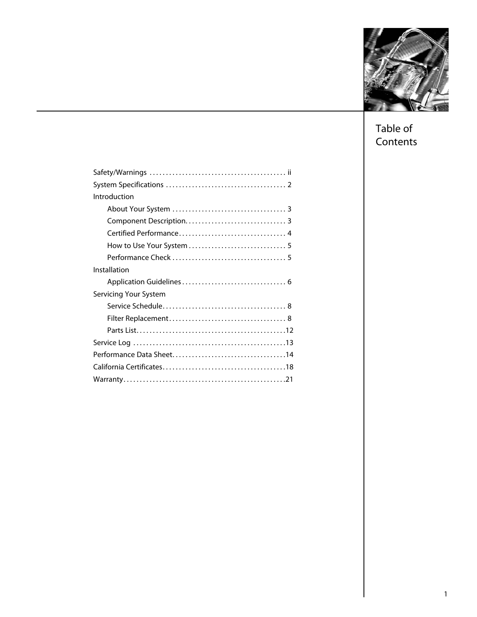

Table of **Contents** 

| Introduction          |
|-----------------------|
|                       |
|                       |
|                       |
|                       |
|                       |
| Installation          |
|                       |
| Servicing Your System |
|                       |
|                       |
|                       |
|                       |
|                       |
|                       |
|                       |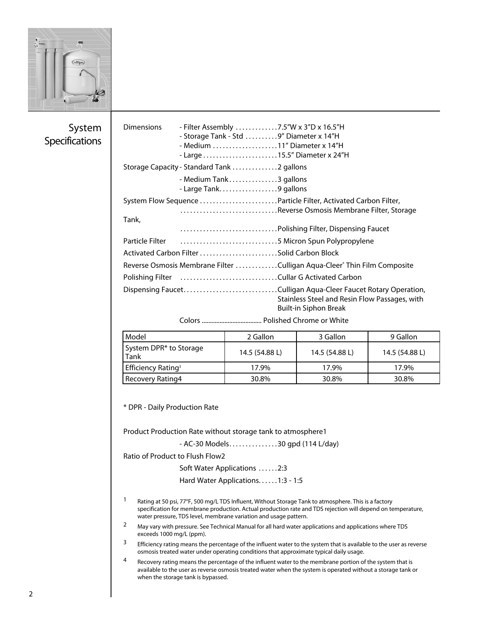

# System **Specifications**

| <b>Dimensions</b>                       |                                    | - Filter Assembly 7.5"W x 3"D x 16.5"H                                                          |                                                                                                                                                                                                                          |                |  |
|-----------------------------------------|------------------------------------|-------------------------------------------------------------------------------------------------|--------------------------------------------------------------------------------------------------------------------------------------------------------------------------------------------------------------------------|----------------|--|
| - Storage Tank - Std 9" Diameter x 14"H |                                    |                                                                                                 |                                                                                                                                                                                                                          |                |  |
| - Medium 11" Diameter x 14"H            |                                    |                                                                                                 |                                                                                                                                                                                                                          |                |  |
|                                         |                                    |                                                                                                 |                                                                                                                                                                                                                          |                |  |
|                                         |                                    | Storage Capacity - Standard Tank 2 gallons                                                      |                                                                                                                                                                                                                          |                |  |
|                                         |                                    | - Medium Tank3 gallons<br>- Large Tank9 gallons                                                 |                                                                                                                                                                                                                          |                |  |
|                                         |                                    |                                                                                                 | System Flow Sequence Particle Filter, Activated Carbon Filter,                                                                                                                                                           |                |  |
|                                         |                                    |                                                                                                 | Reverse Osmosis Membrane Filter, Storage                                                                                                                                                                                 |                |  |
| Tank,                                   |                                    |                                                                                                 |                                                                                                                                                                                                                          |                |  |
| Particle Filter                         |                                    |                                                                                                 |                                                                                                                                                                                                                          |                |  |
|                                         |                                    |                                                                                                 | 5 Micron Spun Polypropylene                                                                                                                                                                                              |                |  |
|                                         |                                    |                                                                                                 |                                                                                                                                                                                                                          |                |  |
|                                         |                                    |                                                                                                 | Reverse Osmosis Membrane Filter Culligan Aqua-Cleer® Thin Film Composite                                                                                                                                                 |                |  |
|                                         |                                    | Polishing Filter (Alter Alter Alter Alter Alter Activated Carbon                                |                                                                                                                                                                                                                          |                |  |
|                                         |                                    |                                                                                                 | Dispensing FaucetCulligan Aqua-Cleer Faucet Rotary Operation,                                                                                                                                                            |                |  |
|                                         |                                    |                                                                                                 | Stainless Steel and Resin Flow Passages, with                                                                                                                                                                            |                |  |
|                                         |                                    |                                                                                                 | <b>Built-in Siphon Break</b>                                                                                                                                                                                             |                |  |
|                                         |                                    |                                                                                                 |                                                                                                                                                                                                                          |                |  |
| Model                                   |                                    | 2 Gallon                                                                                        | 3 Gallon                                                                                                                                                                                                                 | 9 Gallon       |  |
| System DPR* to Storage<br>Tank          |                                    | 14.5 (54.88 L)                                                                                  | 14.5 (54.88 L)                                                                                                                                                                                                           | 14.5 (54.88 L) |  |
| Efficiency Rating <sup>3</sup>          |                                    | 17.9%                                                                                           | 17.9%                                                                                                                                                                                                                    | 17.9%          |  |
| Recovery Rating4                        |                                    | 30.8%                                                                                           | 30.8%                                                                                                                                                                                                                    | 30.8%          |  |
| * DPR - Daily Production Rate           |                                    | Product Production Rate without storage tank to atmosphere1<br>- AC-30 Models30 gpd (114 L/day) |                                                                                                                                                                                                                          |                |  |
|                                         | Ratio of Product to Flush Flow2    |                                                                                                 |                                                                                                                                                                                                                          |                |  |
|                                         |                                    | Soft Water Applications 2:3                                                                     |                                                                                                                                                                                                                          |                |  |
|                                         |                                    | Hard Water Applications. 1:3 - 1:5                                                              |                                                                                                                                                                                                                          |                |  |
| 1                                       |                                    | water pressure, TDS level, membrane variation and usage pattern.                                | Rating at 50 psi, 77°F, 500 mg/L TDS Influent, Without Storage Tank to atmosphere. This is a factory<br>specification for membrane production. Actual production rate and TDS rejection will depend on temperature,      |                |  |
| 2<br>exceeds 1000 mg/L (ppm).           |                                    |                                                                                                 | May vary with pressure. See Technical Manual for all hard water applications and applications where TDS                                                                                                                  |                |  |
| 3                                       |                                    | osmosis treated water under operating conditions that approximate typical daily usage.          | Efficiency rating means the percentage of the influent water to the system that is available to the user as reverse                                                                                                      |                |  |
| 4                                       | when the storage tank is bypassed. |                                                                                                 | Recovery rating means the percentage of the influent water to the membrane portion of the system that is<br>available to the user as reverse osmosis treated water when the system is operated without a storage tank or |                |  |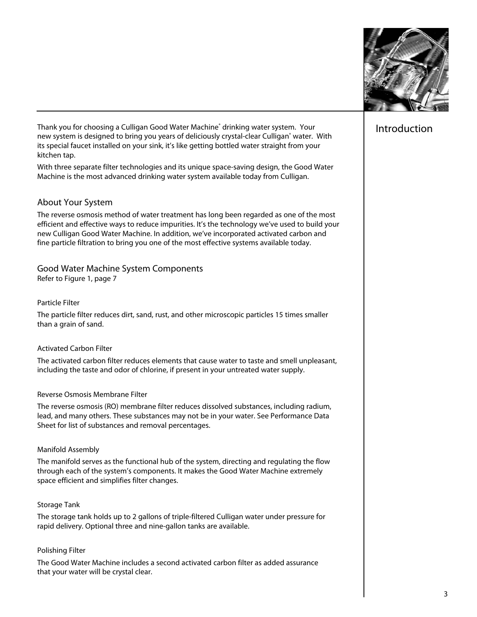

# Introduction

Thank you for choosing a Culligan Good Water Machine® drinking water system. Your new system is designed to bring you years of deliciously crystal-clear Culligan® water. With its special faucet installed on your sink, it's like getting bottled water straight from your kitchen tap.

With three separate filter technologies and its unique space-saving design, the Good Water Machine is the most advanced drinking water system available today from Culligan.

# About Your System

The reverse osmosis method of water treatment has long been regarded as one of the most efficient and effective ways to reduce impurities. It's the technology we've used to build your new Culligan Good Water Machine. In addition, we've incorporated activated carbon and fine particle filtration to bring you one of the most effective systems available today.

Good Water Machine System Components Refer to Figure 1, page 7

#### Particle Filter

The particle filter reduces dirt, sand, rust, and other microscopic particles 15 times smaller than a grain of sand.

#### Activated Carbon Filter

The activated carbon filter reduces elements that cause water to taste and smell unpleasant, including the taste and odor of chlorine, if present in your untreated water supply.

#### Reverse Osmosis Membrane Filter

The reverse osmosis (RO) membrane filter reduces dissolved substances, including radium, lead, and many others. These substances may not be in your water. See Performance Data Sheet for list of substances and removal percentages.

#### Manifold Assembly

The manifold serves as the functional hub of the system, directing and regulating the flow through each of the system's components. It makes the Good Water Machine extremely space efficient and simplifies filter changes.

#### Storage Tank

The storage tank holds up to 2 gallons of triple-filtered Culligan water under pressure for rapid delivery. Optional three and nine-gallon tanks are available.

# Polishing Filter

The Good Water Machine includes a second activated carbon filter as added assurance that your water will be crystal clear.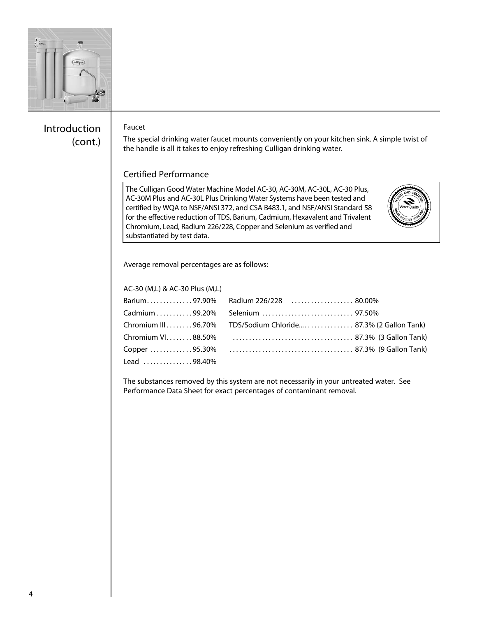

# Introduction (cont.)

# Faucet

The special drinking water faucet mounts conveniently on your kitchen sink. A simple twist of the handle is all it takes to enjoy refreshing Culligan drinking water.

# Certified Performance

 certified by WQA to NSF/ANSI 372, and CSA B483.1, and NSF/ANSI Standard 58 The Culligan Good Water Machine Model AC-30, AC-30M, AC-30L, AC-30 Plus, AC-30M Plus and AC-30L Plus Drinking Water Systems have been tested and for the effective reduction of TDS, Barium, Cadmium, Hexavalent and Trivalent Chromium, Lead, Radium 226/228, Copper and Selenium as verified and substantiated by test data.



Average removal percentages are as follows:

| AC-30 (M,L) & AC-30 Plus (M,L)                |                                                              |
|-----------------------------------------------|--------------------------------------------------------------|
|                                               | Barium97.90% Radium 226/228  80.00%                          |
|                                               |                                                              |
|                                               | Chromium III96.70% TDS/Sodium Chloride 87.3% (2 Gallon Tank) |
| Chromium VI88.50%                             |                                                              |
| Copper 95.30%                                 |                                                              |
| $1$ ead $\ldots \ldots \ldots \ldots 98.40\%$ |                                                              |
|                                               |                                                              |

The substances removed by this system are not necessarily in your untreated water. See Performance Data Sheet for exact percentages of contaminant removal.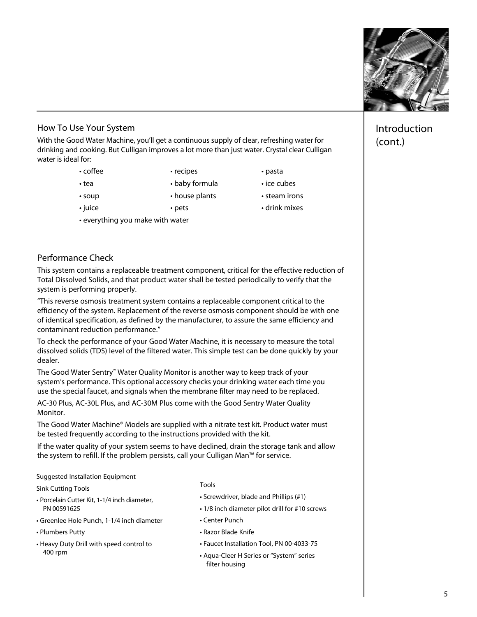

# How To Use Your System

With the Good Water Machine, you'll get a continuous supply of clear, refreshing water for drinking and cooking. But Culligan improves a lot more than just water. Crystal clear Culligan water is ideal for:

- coffee recipes pasta
- 
- 
- tea • baby formula ice cubes
	-
- everything you make with water
- 
- soup house plants steam irons
- • juice • pets • drink mixes

# Performance Check

This system contains a replaceable treatment component, critical for the effective reduction of Total Dissolved Solids, and that product water shall be tested periodically to verify that the system is performing properly.

"This reverse osmosis treatment system contains a replaceable component critical to the efficiency of the system. Replacement of the reverse osmosis component should be with one of identical specification, as defined by the manufacturer, to assure the same efficiency and contaminant reduction performance."

To check the performance of your Good Water Machine, it is necessary to measure the total dissolved solids (TDS) level of the filtered water. This simple test can be done quickly by your dealer.

The Good Water Sentry™ Water Quality Monitor is another way to keep track of your system's performance. This optional accessory checks your drinking water each time you use the special faucet, and signals when the membrane filter may need to be replaced.

AC-30 Plus, AC-30L Plus, and AC-30M Plus come with the Good Sentry Water Quality Monitor.

The Good Water Machine® Models are supplied with a nitrate test kit. Product water must be tested frequently according to the instructions provided with the kit.

If the water quality of your system seems to have declined, drain the storage tank and allow the system to refill. If the problem persists, call your Culligan Man™ for service.

Suggested Installation Equipment

Tools Sink Cutting Tools

- Screwdriver, blade and Phillips (#1) Porcelain Cutter Kit, 1-1/4 inch diameter,
- Greenlee Hole Punch, 1-1/4 inch diameter Center Punch
- Plumbers Putty
- Heavy Duty Drill with speed control to
- 
- Screwdriver, blade and Phillips (#1)
- PN 00591625 1/8 inch diameter pilot drill for #10 screws
	- Center Punch
- Plumbers Putty  **Razor Blade Knife**
- Heavy Duty Drill with speed control to Faucet Installation Tool, PN 00-4033-75
	- 400 rpm Aqua-Cleer <sup>H</sup> Series or "System" series filter housing

# Introduction (cont.)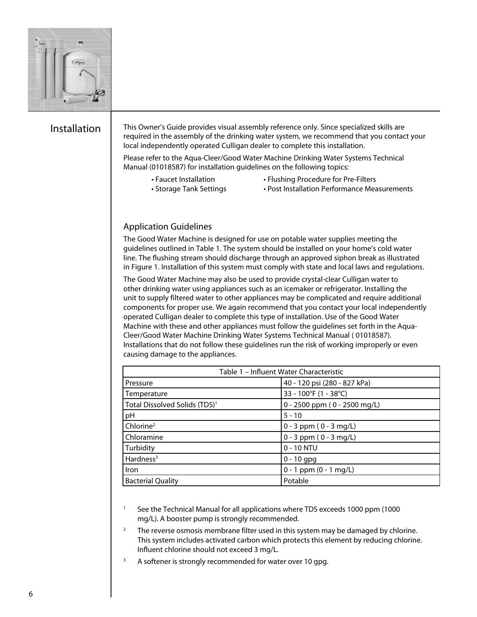

# Installation

 This Owner's Guide provides visual assembly reference only. Since specialized skills are required in the assembly of the drinking water system, we recommend that you contact your local independently operated Culligan dealer to complete this installation.

Please refer to the Aqua-Cleer/Good Water Machine Drinking Water Systems Technical Manual (01018587) for installation guidelines on the following topics:

- 
- Faucet Installation Flushing Procedure for Pre-Filters
	- Storage Tank Settings
- Post Installation Performance Measurements

# Application Guidelines The Good Water Machine is designed for use on potable water supplies meeting the guidelines outlined in Table 1. The system should be installed on your home's cold water line. The flushing stream should discharge through an approved siphon break as illustrated in Figure 1. Installation of this system must comply with state and local laws and regulations.

The Good Water Machine may also be used to provide crystal-clear Culligan water to other drinking water using appliances such as an icemaker or refrigerator. Installing the unit to supply filtered water to other appliances may be complicated and require additional components for proper use. We again recommend that you contact your local independently operated Culligan dealer to complete this type of installation. Use of the Good Water Machine with these and other appliances must follow the guidelines set forth in the Aqua-Cleer/Good Water Machine Drinking Water Systems Technical Manual ( 01018587). Installations that do not follow these guidelines run the risk of working improperly or even causing damage to the appliances.

| Table 1 - Influent Water Characteristic   |                              |  |  |
|-------------------------------------------|------------------------------|--|--|
| Pressure                                  | 40 - 120 psi (280 - 827 kPa) |  |  |
| Temperature                               | 33 - 100°F (1 - 38°C)        |  |  |
| Total Dissolved Solids (TDS) <sup>1</sup> | 0 - 2500 ppm (0 - 2500 mg/L) |  |  |
| pH                                        | $5 - 10$                     |  |  |
| Chlorine <sup>2</sup>                     | $0 - 3$ ppm $(0 - 3$ mg/L)   |  |  |
| Chloramine                                | $0 - 3$ ppm $(0 - 3$ mg/L)   |  |  |
| Turbidity                                 | $0 - 10$ NTU                 |  |  |
| Hardness $3$                              | $0 - 10$ gpg                 |  |  |
| Iron                                      | $0 - 1$ ppm $(0 - 1$ mg/L)   |  |  |
| <b>Bacterial Quality</b>                  | Potable                      |  |  |

<sup>1</sup> See the Technical Manual for all applications where TDS exceeds 1000 ppm (1000 mg/L). A booster pump is strongly recommended.

- <sup>2</sup> The reverse osmosis membrane filter used in this system may be damaged by chlorine. This system includes activated carbon which protects this element by reducing chlorine. Influent chlorine should not exceed 3 mg/L.
- $3$  A softener is strongly recommended for water over 10 gpg.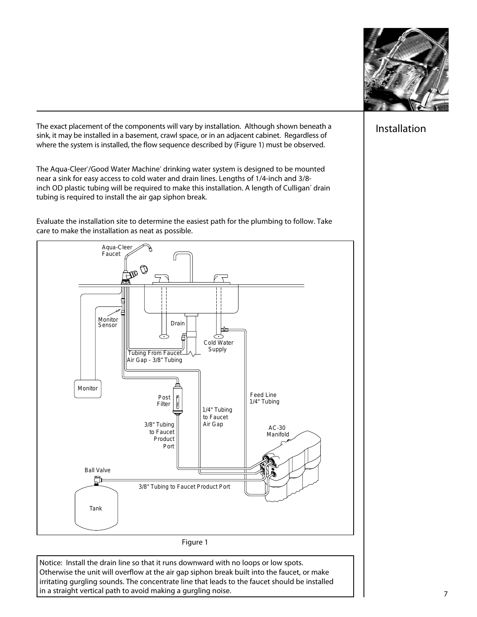

The exact placement of the components will vary by installation. Although shown beneath a  $\Box$  Installation sink, it may be installed in a basement, crawl space, or in an adjacent cabinet. Regardless of where the system is installed, the flow sequence described by (Figure 1) must be observed.

The Aqua-Cleer'/Good Water Machine' drinking water system is designed to be mounted near a sink for easy access to cold water and drain lines. Lengths of 1/4-inch and 3/8 inch OD plastic tubing will be required to make this installation. A length of Culligan' drain tubing is required to install the air gap siphon break.

Evaluate the installation site to determine the easiest path for the plumbing to follow. Take care to make the installation as neat as possible.



Notice: Install the drain line so that it runs downward with no loops or low spots. Otherwise the unit will overflow at the air gap siphon break built into the faucet, or make irritating gurgling sounds. The concentrate line that leads to the faucet should be installed in a straight vertical path to avoid making a gurgling noise.  $\begin{array}{c|c} \hline \end{array}$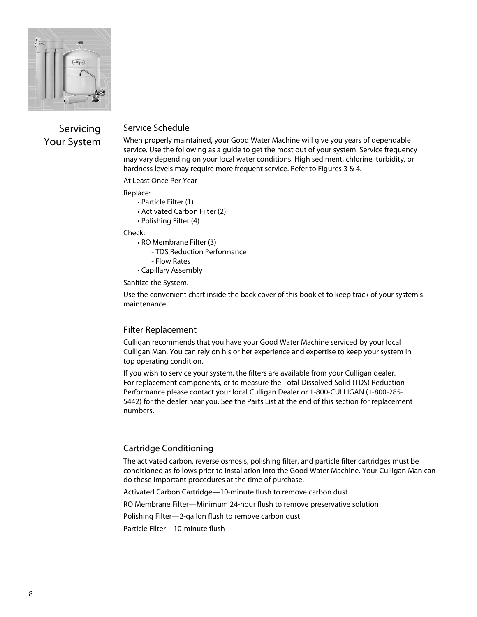

# Servicing Your System

# Service Schedule

When properly maintained, your Good Water Machine will give you years of dependable service. Use the following as a guide to get the most out of your system. Service frequency may vary depending on your local water conditions. High sediment, chlorine, turbidity, or hardness levels may require more frequent service. Refer to Figures 3 & 4.

At Least Once Per Year

#### Replace:

- Particle Filter (1)
- Activated Carbon Filter (2)
- Polishing Filter (4)

#### Check:

- RO Membrane Filter (3)
	- TDS Reduction Performance
	- Flow Rates
- Capillary Assembly

 Sanitize the System.

Use the convenient chart inside the back cover of this booklet to keep track of your system's maintenance.

# Filter Replacement

Culligan recommends that you have your Good Water Machine serviced by your local Culligan Man. You can rely on his or her experience and expertise to keep your system in top operating condition.

If you wish to service your system, the filters are available from your Culligan dealer. For replacement components, or to measure the Total Dissolved Solid (TDS) Reduction Performance please contact your local Culligan Dealer or 1-800-CULLIGAN (1-800-285 5442) for the dealer near you. See the Parts List at the end of this section for replacement numbers.

# Cartridge Conditioning

The activated carbon, reverse osmosis, polishing filter, and particle filter cartridges must be conditioned as follows prior to installation into the Good Water Machine. Your Culligan Man can do these important procedures at the time of purchase.

Activated Carbon Cartridge—10-minute flush to remove carbon dust

RO Membrane Filter—Minimum 24-hour flush to remove preservative solution

Polishing Filter—2-gallon flush to remove carbon dust

Particle Filter—10-minute flush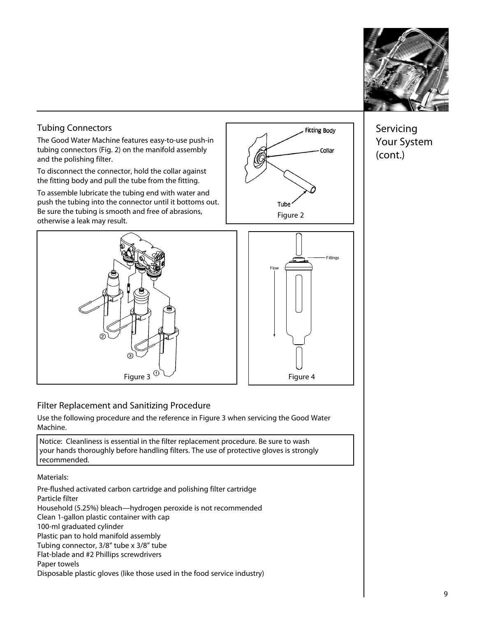

# Servicing Your System (cont.)

# Tubing Connectors

The Good Water Machine features easy-to-use push-in tubing connectors (Fig. 2) on the manifold assembly and the polishing filter.

To disconnect the connector, hold the collar against the fitting body and pull the tube from the fitting.

To assemble lubricate the tubing end with water and push the tubing into the connector until it bottoms out. Be sure the tubing is smooth and free of abrasions, be sure the tubing is smooth and free of abrasions,<br>otherwise a leak may result.







# Filter Replacement and Sanitizing Procedure

Use the following procedure and the reference in Figure 3 when servicing the Good Water Machine.

Notice: Cleanliness is essential in the filter replacement procedure. Be sure to wash your hands thoroughly before handling filters. The use of protective gloves is strongly recommended.

Materials:

 Flat-blade and #2 Phillips screwdrivers Pre-flushed activated carbon cartridge and polishing filter cartridge Particle filter Household (5.25%) bleach—hydrogen peroxide is not recommended Clean 1-gallon plastic container with cap 100-ml graduated cylinder Plastic pan to hold manifold assembly Tubing connector, 3/8" tube x 3/8" tube Paper towels Disposable plastic gloves (like those used in the food service industry)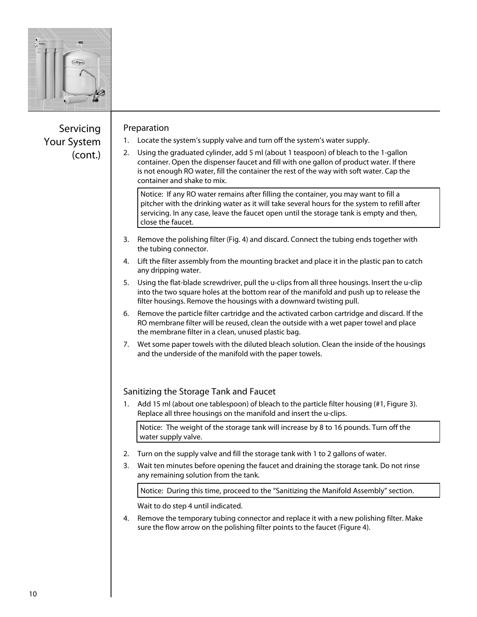

# Servicing Your System (cont.)

# Preparation

- 1. Locate the system's supply valve and turn off the system's water supply.
- 2. Using the graduated cylinder, add 5 ml (about 1 teaspoon) of bleach to the 1-gallon container. Open the dispenser faucet and fill with one gallon of product water. If there is not enough RO water, fill the container the rest of the way with soft water. Cap the container and shake to mix.

Notice: If any RO water remains after filling the container, you may want to fill a pitcher with the drinking water as it will take several hours for the system to refill after servicing. In any case, leave the faucet open until the storage tank is empty and then, close the faucet.

- 3. Remove the polishing filter (Fig. 4) and discard. Connect the tubing ends together with the tubing connector.
- 4. Lift the filter assembly from the mounting bracket and place it in the plastic pan to catch any dripping water.
- 5. Using the flat-blade screwdriver, pull the u-clips from all three housings. Insert the u-clip into the two square holes at the bottom rear of the manifold and push up to release the filter housings. Remove the housings with a downward twisting pull.
- 6. Remove the particle filter cartridge and the activated carbon cartridge and discard. If the RO membrane filter will be reused, clean the outside with a wet paper towel and place the membrane filter in a clean, unused plastic bag.
- 7. Wet some paper towels with the diluted bleach solution. Clean the inside of the housings and the underside of the manifold with the paper towels.

# Sanitizing the Storage Tank and Faucet

1. Add 15 ml (about one tablespoon) of bleach to the particle filter housing (#1, Figure 3). Replace all three housings on the manifold and insert the u-clips.

Notice: The weight of the storage tank will increase by 8 to 16 pounds. Turn off the water supply valve.

- 2. Turn on the supply valve and fill the storage tank with 1 to 2 gallons of water.
- 3. Wait ten minutes before opening the faucet and draining the storage tank. Do not rinse any remaining solution from the tank.

 Notice: During this time, proceed to the "Sanitizing the Manifold Assembly" section.

Wait to do step 4 until indicated.

4. Remove the temporary tubing connector and replace it with a new polishing filter. Make sure the flow arrow on the polishing filter points to the faucet (Figure 4).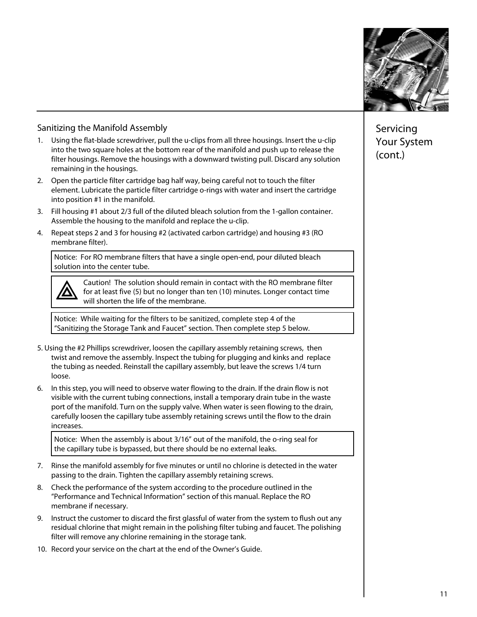

# Sanitizing the Manifold Assembly

- 1. Using the flat-blade screwdriver, pull the u-clips from all three housings. Insert the u-clip into the two square holes at the bottom rear of the manifold and push up to release the filter housings. Remove the housings with a downward twisting pull. Discard any solution remaining in the housings.
- into position #1 in the manifold. 2. Open the particle filter cartridge bag half way, being careful not to touch the filter element. Lubricate the particle filter cartridge o-rings with water and insert the cartridge
- 3. Fill housing #1 about 2/3 full of the diluted bleach solution from the 1-gallon container. Assemble the housing to the manifold and replace the u-clip.
- 4. Repeat steps 2 and 3 for housing #2 (activated carbon cartridge) and housing #3 (RO membrane filter).

Notice: For RO membrane filters that have a single open-end, pour diluted bleach solution into the center tube.



Caution! The solution should remain in contact with the RO membrane filter for at least five (5) but no longer than ten (10) minutes. Longer contact time will shorten the life of the membrane.

 Notice: While waiting for the filters to be sanitized, complete step 4 of the "Sanitizing the Storage Tank and Faucet" section. Then complete step 5 below.

- 5. Using the #2 Phillips screwdriver, loosen the capillary assembly retaining screws, then twist and remove the assembly. Inspect the tubing for plugging and kinks and replace the tubing as needed. Reinstall the capillary assembly, but leave the screws 1/4 turn loose.
- 6. In this step, you will need to observe water flowing to the drain. If the drain flow is not visible with the current tubing connections, install a temporary drain tube in the waste port of the manifold. Turn on the supply valve. When water is seen flowing to the drain, carefully loosen the capillary tube assembly retaining screws until the flow to the drain increases.

Notice: When the assembly is about 3/16" out of the manifold, the o-ring seal for the capillary tube is bypassed, but there should be no external leaks.

- 7. Rinse the manifold assembly for five minutes or until no chlorine is detected in the water passing to the drain. Tighten the capillary assembly retaining screws.
- 8. Check the performance of the system according to the procedure outlined in the "Performance and Technical Information" section of this manual. Replace the RO membrane if necessary.
- 9. Instruct the customer to discard the first glassful of water from the system to flush out any residual chlorine that might remain in the polishing filter tubing and faucet. The polishing filter will remove any chlorine remaining in the storage tank.
- 10. Record your service on the chart at the end of the Owner's Guide.

Servicing Your System (cont.)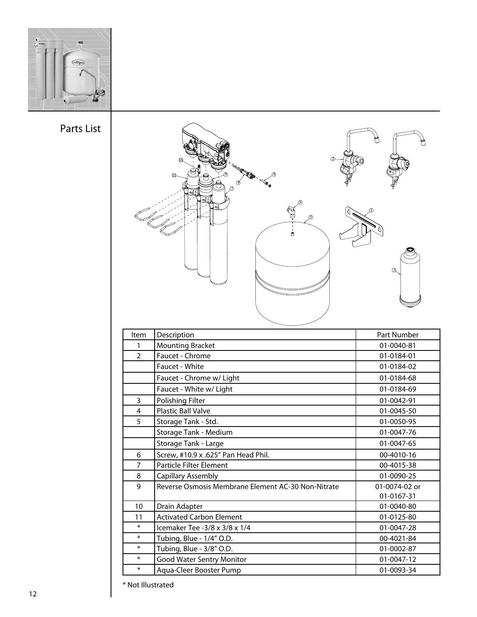

Parts List



\* Not Illustrated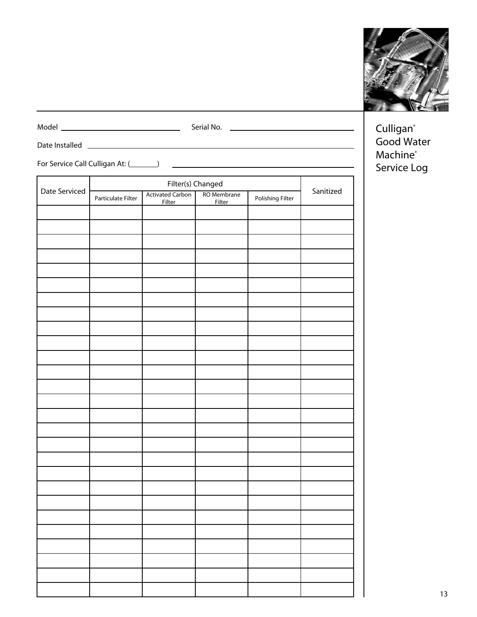

Model Serial No.

Date Installed

For Service Call Culligan At: (\_\_\_\_\_\_\_)

| Filter(s) Changed |                    |                                          |                              |                  |           |
|-------------------|--------------------|------------------------------------------|------------------------------|------------------|-----------|
| Date Serviced     | Particulate Filter | <b>Activated Carbon</b><br><b>Filter</b> | RO Membrane<br><b>Filter</b> | Polishing Filter | Sanitized |
|                   |                    |                                          |                              |                  |           |
|                   |                    |                                          |                              |                  |           |
|                   |                    |                                          |                              |                  |           |
|                   |                    |                                          |                              |                  |           |
|                   |                    |                                          |                              |                  |           |
|                   |                    |                                          |                              |                  |           |
|                   |                    |                                          |                              |                  |           |
|                   |                    |                                          |                              |                  |           |
|                   |                    |                                          |                              |                  |           |
|                   |                    |                                          |                              |                  |           |
|                   |                    |                                          |                              |                  |           |
|                   |                    |                                          |                              |                  |           |
|                   |                    |                                          |                              |                  |           |
|                   |                    |                                          |                              |                  |           |
|                   |                    |                                          |                              |                  |           |
|                   |                    |                                          |                              |                  |           |
|                   |                    |                                          |                              |                  |           |
|                   |                    |                                          |                              |                  |           |
|                   |                    |                                          |                              |                  |           |
|                   |                    |                                          |                              |                  |           |
|                   |                    |                                          |                              |                  |           |
|                   |                    |                                          |                              |                  |           |
|                   |                    |                                          |                              |                  |           |
|                   |                    |                                          |                              |                  |           |
|                   |                    |                                          |                              |                  |           |
|                   |                    |                                          |                              |                  |           |
|                   |                    |                                          |                              |                  |           |
|                   |                    |                                          |                              |                  |           |

Culligan<sup>®</sup> Good Water Machine<sup>®</sup> Service Log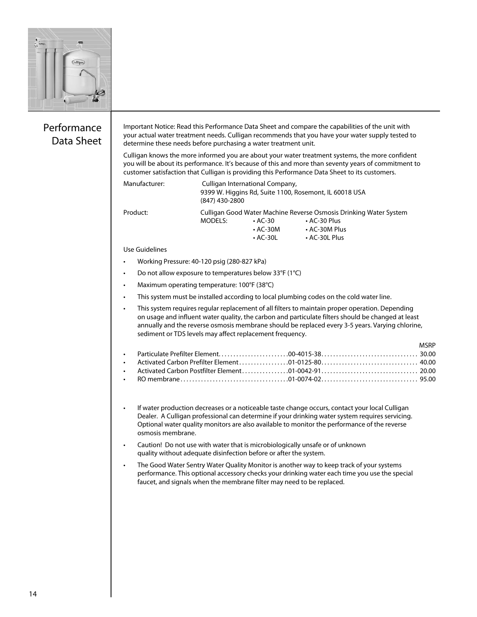

# Performance Data Sheet

Important Notice: Read this Performance Data Sheet and compare the capabilities of the unit with your actual water treatment needs. Culligan recommends that you have your water supply tested to determine these needs before purchasing a water treatment unit.

Culligan knows the more informed you are about your water treatment systems, the more confident you will be about its performance. It's because of this and more than seventy years of commitment to customer satisfaction that Culligan is providing this Performance Data Sheet to its customers.

• AC-30L • AC-30L Plus

**MCDD** 

| Manufacturer: | (847) 430-2800 | Culligan International Company, | 9399 W. Higgins Rd, Suite 1100, Rosemont, IL 60018 USA            |  |
|---------------|----------------|---------------------------------|-------------------------------------------------------------------|--|
| Product:      |                |                                 | Culligan Good Water Machine Reverse Osmosis Drinking Water System |  |
|               | MODELS:        | $\cdot$ AC-30                   | $\cdot$ AC-30 Plus                                                |  |
|               |                | $\cdot$ AC-30M                  | • AC-30M Plus                                                     |  |

Use Guidelines

- • Working Pressure: 40-120 psig (280-827 kPa)
- Do not allow exposure to temperatures below 33°F (1°C)
- • Maximum operating temperature: 100°F (38°C)
- • This system must be installed according to local plumbing codes on the cold water line.
- • This system requires regular replacement of all filters to maintain proper operation. Depending on usage and influent water quality, the carbon and particulate filters should be changed at least annually and the reverse osmosis membrane should be replaced every 3-5 years. Varying chlorine, sediment or TDS levels may affect replacement frequency.

- • If water production decreases or a noticeable taste change occurs, contact your local Culligan Dealer. A Culligan professional can determine if your drinking water system requires servicing. Optional water quality monitors are also available to monitor the performance of the reverse osmosis membrane.
- Caution! Do not use with water that is microbiologically unsafe or of unknown quality without adequate disinfection before or after the system.
- The Good Water Sentry Water Quality Monitor is another way to keep track of your systems performance. This optional accessory checks your drinking water each time you use the special faucet, and signals when the membrane filter may need to be replaced.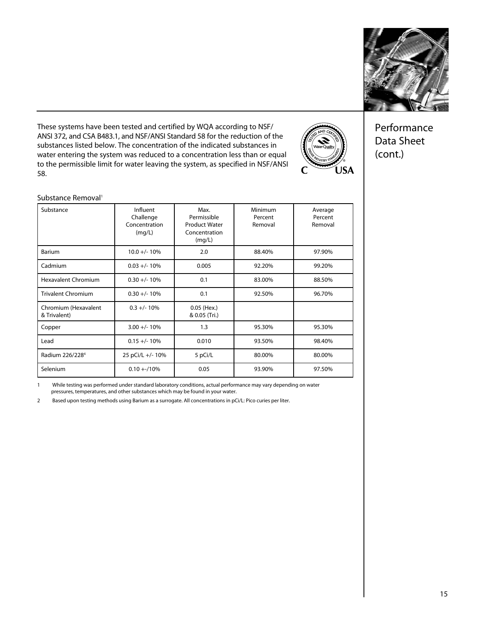

These systems have been tested and certified by WQA according to NSF/ ANSI 372, and CSA B483.1, and NSF/ANSI Standard 58 for the reduction of the substances listed below. The concentration of the indicated substances in water entering the system was reduced to a concentration less than or equal to the permissible limit for water leaving the system, as specified in NSF/ANSI 58.



Performance Data Sheet (cont.)

#### Substance Removal<sup>1</sup>

| Substance                            | Influent<br>Challenge<br>Concentration<br>(mq/L) | Max.<br>Permissible<br><b>Product Water</b><br>Concentration<br>(mg/L) | Minimum<br>Percent<br>Removal | Average<br>Percent<br>Removal |
|--------------------------------------|--------------------------------------------------|------------------------------------------------------------------------|-------------------------------|-------------------------------|
| Barium                               | $10.0 +/- 10%$                                   | 2.0                                                                    | 88.40%                        | 97.90%                        |
| Cadmium                              | $0.03 +/- 10%$                                   | 0.005                                                                  | 92.20%                        | 99.20%                        |
| <b>Hexavalent Chromium</b>           | $0.30 +/- 10%$                                   | 0.1                                                                    | 83.00%                        | 88.50%                        |
| <b>Trivalent Chromium</b>            | $0.30 +/- 10%$                                   | 0.1                                                                    | 92.50%                        | 96.70%                        |
| Chromium (Hexavalent<br>& Trivalent) | $0.3 +/- 10%$                                    | 0.05 (Hex.)<br>& 0.05 (Tri.)                                           |                               |                               |
| Copper                               | $3.00 +/- 10%$                                   | 1.3                                                                    | 95.30%                        | 95.30%                        |
| Lead                                 | $0.15 +/- 10%$                                   | 0.010                                                                  | 93.50%                        | 98.40%                        |
| Radium 226/228 <sup>4</sup>          | 25 pCi/L +/- 10%                                 | 5 pCi/L                                                                | 80.00%                        | 80.00%                        |
| Selenium                             | $0.10 + 10%$                                     | 0.05                                                                   | 93.90%                        | 97.50%                        |

1 While testing was performed under standard laboratory conditions, actual performance may vary depending on water pressures, temperatures, and other substances which may be found in your water.

2 Based upon testing methods using Barium as a surrogate. All concentrations in pCi/L: Pico curies per liter.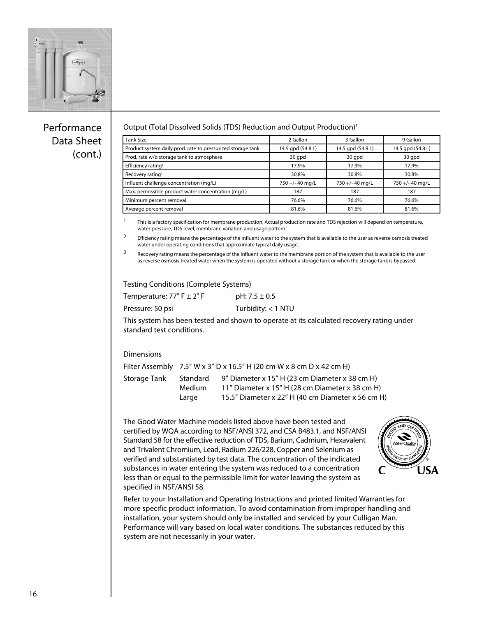

# Performance Data Sheet (cont.)

#### Output (Total Dissolved Solids (TDS) Reduction and Output Production)<sup>1</sup>

| Tank Size                                                   | 2 Gallon          | 3 Gallon          | 9 Gallon          |
|-------------------------------------------------------------|-------------------|-------------------|-------------------|
| Product system daily prod. rate to pressurized storage tank | 14.5 qpd (54.8 L) | 14.5 qpd (54.8 L) | 14.5 qpd (54.8 L) |
| Prod. rate w/o storage tank to atmosphere                   | 30 qpd            | 30 gpd            | 30 qpd            |
| Efficiency rating <sup>2</sup>                              | 17.9%             | 17.9%             | 17.9%             |
| Recovery rating <sup>3</sup>                                | 30.8%             | 30.8%             | 30.8%             |
| Influent challenge concentration (mg/L)                     | 750 +/- 40 mg/L   | 750 +/- 40 mg/L   | 750 +/- 40 mg/L   |
| Max. permissible product water concentration (mq/L)         | 187               | 187               | 187               |
| Minimum percent removal                                     | 76.6%             | 76.6%             | 76.6%             |
| Average percent removal                                     | 81.6%             | 81.6%             | 81.6%             |

 $1$  This is a factory specification for membrane production. Actual production rate and TDS rejection will depend on temperature, water pressure, TDS level, membrane variation and usage pattern.

<sup>2</sup> Efficiency rating means the percentage of the influent water to the system that is available to the user as reverse osmosis treated water under operating conditions that approximate typical daily usage.

3 Recovery rating means the percentage of the influent water to the membrane portion of the system that is available to the user as reverse osmosis treated water when the system is operated without a storage tank or when the storage tank is bypassed.

Testing Conditions (Complete Systems)

Temperature:  $77^{\circ}$  F  $\pm$  2° F pH:  $7.5 \pm 0.5$ 

Pressure: 50 psi Turbidity: < 1 NTU

This system has been tested and shown to operate at its calculated recovery rating under standard test conditions.

#### **Dimensions**

|              | Filter Assembly $7.5''$ W x 3" D x 16.5" H (20 cm W x 8 cm D x 42 cm H) |                                                                                                                                                        |  |
|--------------|-------------------------------------------------------------------------|--------------------------------------------------------------------------------------------------------------------------------------------------------|--|
| Storage Tank | Standard<br>Medium<br>Large                                             | 9" Diameter x 15" H (23 cm Diameter x 38 cm H)<br>11" Diameter x 15" H (28 cm Diameter x 38 cm H)<br>15.5" Diameter x 22" H (40 cm Diameter x 56 cm H) |  |

The Good Water Machine models listed above have been tested and certified by WQA according to NSF/ANSI 372, and CSA B483.1, and NSF/ANSI Standard 58 for the effective reduction of TDS, Barium, Cadmium, Hexavalent and Trivalent Chromium, Lead, Radium 226/228, Copper and Selenium as verified and substantiated by test data. The concentration of the indicated substances in water entering the system was reduced to a concentration less than or equal to the permissible limit for water leaving the system as specified in NSF/ANSI 58.



Refer to your Installation and Operating Instructions and printed limited Warranties for more specific product information. To avoid contamination from improper handling and installation, your system should only be installed and serviced by your Culligan Man. Performance will vary based on local water conditions. The substances reduced by this system are not necessarily in your water.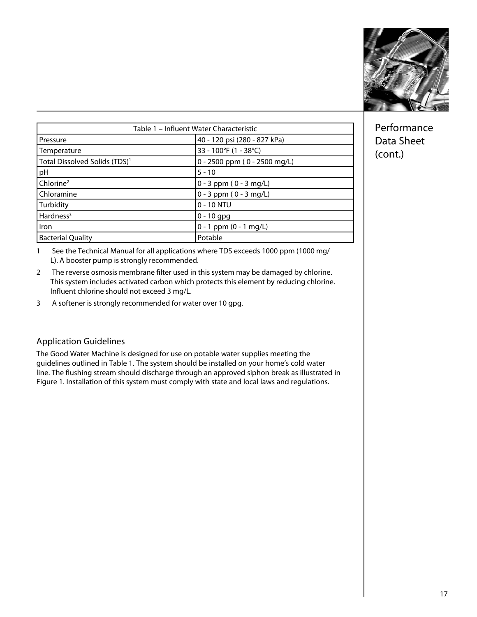

| Table 1 - Influent Water Characteristic   |                              |  |  |
|-------------------------------------------|------------------------------|--|--|
| l Pressure                                | 40 - 120 psi (280 - 827 kPa) |  |  |
| Temperature                               | 33 - 100°F (1 - 38°C)        |  |  |
| Total Dissolved Solids (TDS) <sup>1</sup> | 0 - 2500 ppm (0 - 2500 mg/L) |  |  |
| pH                                        | $5 - 10$                     |  |  |
| Chlorine <sup>2</sup>                     | $0 - 3$ ppm $(0 - 3$ mg/L)   |  |  |
| Chloramine                                | $0 - 3$ ppm $(0 - 3$ mg/L)   |  |  |
| Turbidity                                 | $0 - 10$ NTU                 |  |  |
| Hardness <sup>3</sup>                     | $0 - 10$ gpg                 |  |  |
| l Iron                                    | $0 - 1$ ppm $(0 - 1$ mg/L)   |  |  |
| <b>Bacterial Quality</b>                  | Potable                      |  |  |

1 See the Technical Manual for all applications where TDS exceeds 1000 ppm (1000 mg/ L). A booster pump is strongly recommended.

- 2 The reverse osmosis membrane filter used in this system may be damaged by chlorine. This system includes activated carbon which protects this element by reducing chlorine. Influent chlorine should not exceed 3 mg/L.
- 3 A softener is strongly recommended for water over 10 gpg.

# Application Guidelines

The Good Water Machine is designed for use on potable water supplies meeting the guidelines outlined in Table 1. The system should be installed on your home's cold water line. The flushing stream should discharge through an approved siphon break as illustrated in Figure 1. Installation of this system must comply with state and local laws and regulations.

Performance Data Sheet (cont.)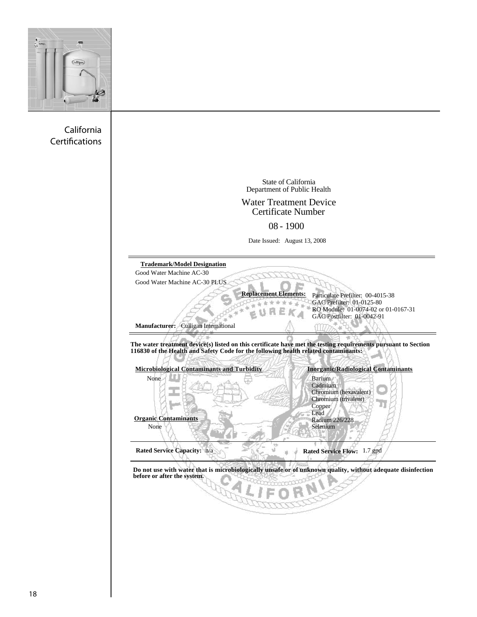

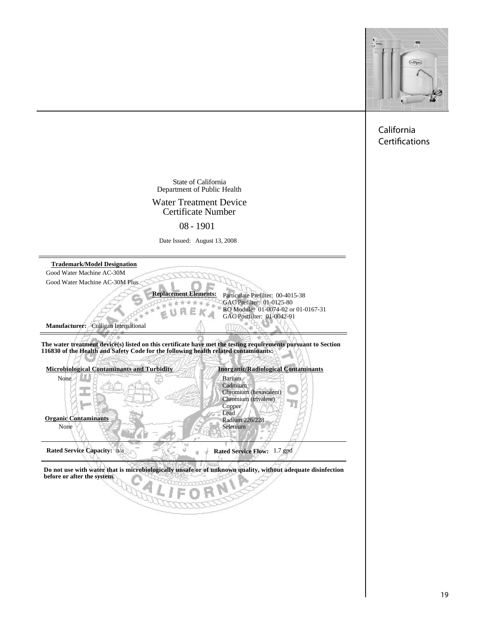

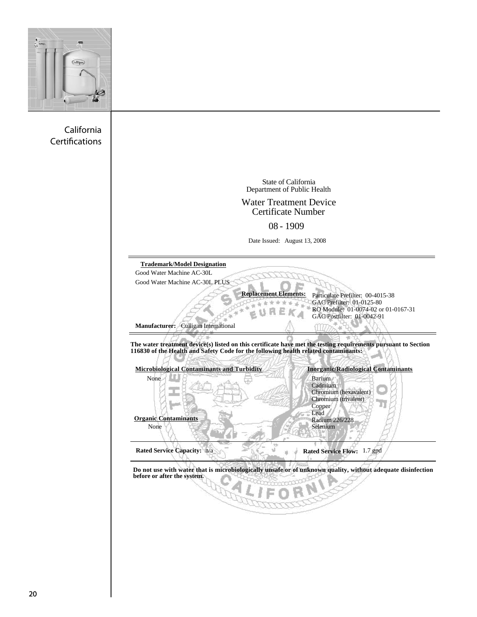

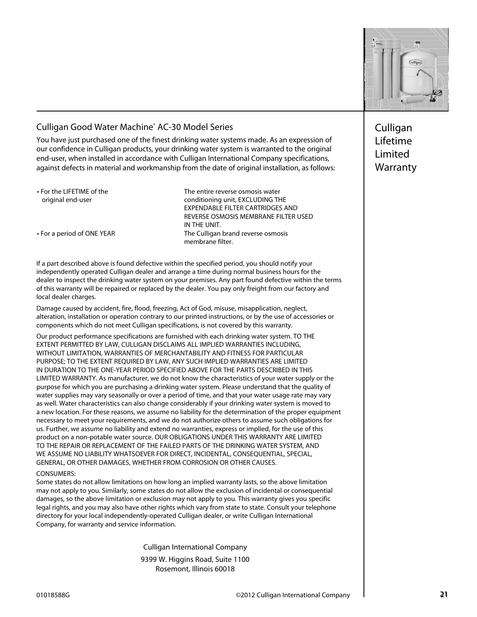

# Culligan Good Water Machine® AC-30 Model Series

You have just purchased one of the finest drinking water systems made. As an expression of our confidence in Culligan products, your drinking water system is warranted to the original end-user, when installed in accordance with Culligan International Company specifications, against defects in material and workmanship from the date of original installation, as follows:

• For the LIFETIME of the The The entire reverse osmosis water • For a period of ONE YEAR The Culligan brand reverse osmosis original end-user conditioning unit, EXCLUDING THE EXPENDABLE FILTER CARTRIDGES AND REVERSE OSMOSIS MEMBRANE FILTER USED IN THE UNIT. membrane filter.

If a part described above is found defective within the specified period, you should notify your independently operated Culligan dealer and arrange a time during normal business hours for the dealer to inspect the drinking water system on your premises. Any part found defective within the terms of this warranty will be repaired or replaced by the dealer. You pay only freight from our factory and local dealer charges.

 Damage caused by accident, fire, flood, freezing, Act of God, misuse, misapplication, neglect, alteration, installation or operation contrary to our printed instructions, or by the use of accessories or components which do not meet Culligan specifications, is not covered by this warranty.

 necessary to meet your requirements, and we do not authorize others to assume such obligations for Our product performance specifications are furnished with each drinking water system. TO THE EXTENT PERMITTED BY LAW, CULLIGAN DISCLAIMS ALL IMPLIED WARRANTIES INCLUDING, WITHOUT LIMITATION, WARRANTIES OF MERCHANTABILITY AND FITNESS FOR PARTICULAR PURPOSE; TO THE EXTENT REQUIRED BY LAW, ANY SUCH IMPLIED WARRANTIES ARE LIMITED IN DURATION TO THE ONE-YEAR PERIOD SPECIFIED ABOVE FOR THE PARTS DESCRIBED IN THIS LIMITED WARRANTY. As manufacturer, we do not know the characteristics of your water supply or the purpose for which you are purchasing a drinking water system. Please understand that the quality of water supplies may vary seasonally or over a period of time, and that your water usage rate may vary as well. Water characteristics can also change considerably if your drinking water system is moved to a new location. For these reasons, we assume no liability for the determination of the proper equipment us. Further, we assume no liability and extend no warranties, express or implied, for the use of this product on a non-potable water source. OUR OBLIGATIONS UNDER THIS WARRANTY ARE LIMITED TO THE REPAIR OR REPLACEMENT OF THE FAILED PARTS OF THE DRINKING WATER SYSTEM, AND WE ASSUME NO LIABILITY WHATSOEVER FOR DIRECT, INCIDENTAL, CONSEQUENTIAL, SPECIAL, GENERAL, OR OTHER DAMAGES, WHETHER FROM CORROSION OR OTHER CAUSES.

#### CONSUMERS:

Some states do not allow limitations on how long an implied warranty lasts, so the above limitation may not apply to you. Similarly, some states do not allow the exclusion of incidental or consequential damages, so the above limitation or exclusion may not apply to you. This warranty gives you specific legal rights, and you may also have other rights which vary from state to state. Consult your telephone directory for your local independently-operated Culligan dealer, or write Culligan International Company, for warranty and service information.

Culligan International Company

9399 W. Higgins Road, Suite 1100 Rosemont, Illinois 60018

Culligan Lifetime Limited Warranty